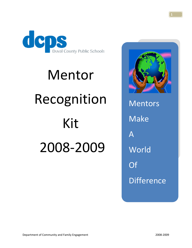

# Mentor Recognition Kit 2008‐2009



Mentors Make A **World** Of **Difference**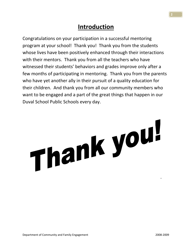#### **Introduction**

Congratulations on your participation in a successful mentoring program at your school! Thank you! Thank you from the students whose lives have been positively enhanced through their interactions with their mentors. Thank you from all the teachers who have witnessed their students' behaviors and grades improve only after a few months of participating in mentoring. Thank you from the parents who have yet another ally in their pursuit of a quality education for their children. And thank you from all our community members who want to be engaged and a part of the great things that happen in our Duval School Public Schools every day.

# Thank you!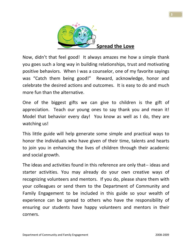

Now, didn't that feel good! It always amazes me how a simple thank you goes such a long way in building relationships, trust and motivating positive behaviors. When I was a counselor, one of my favorite sayings was "Catch them being good!" Reward, acknowledge, honor and celebrate the desired actions and outcomes. It is easy to do and much more fun than the alternative.

One of the biggest gifts we can give to children is the gift of appreciation. Teach our young ones to say thank you and mean it! Model that behavior every day! You know as well as I do, they are watching us!

This little guide will help generate some simple and practical ways to honor the individuals who have given of their time, talents and hearts to join you in enhancing the lives of children through their academic and social growth.

The ideas and activities found in this reference are only that‐‐ ideas and starter activities. You may already do your own creative ways of recognizing volunteers and mentors. If you do, please share them with your colleagues or send them to the Department of Community and Family Engagement to be included in this guide so your wealth of experience can be spread to others who have the responsibility of ensuring our students have happy volunteers and mentors in their corners.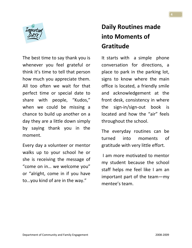

The best time to say thank you is whenever you feel grateful or think it's time to tell that person how much you appreciate them. All too often we wait for that perfect time or special date to share with people, "Kudos," when we could be missing a chance to build up another on a day they are a little down simply by saying thank you in the moment.

Every day a volunteer or mentor walks up to your school he or she is receiving the message of "come on in… we welcome you" or "alright, come in if you have to…you kind of are in the way."

### **Daily Routines made into Moments of Gratitude**

It starts with a simple phone conversation for directions, a place to park in the parking lot, signs to know where the main office is located, a friendly smile and acknowledgement at the front desk, consistency in where the sign‐in/sign‐out book is located and how the "air" feels throughout the school.

The everyday routines can be turned into moments of gratitude with very little effort.

I am more motivated to mentor my student because the school staff helps me feel like I am an important part of the team—my mentee's team.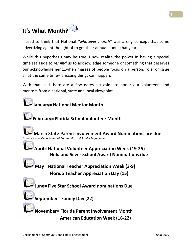## **It's What Month?**

I used to think that National *"whatever month"* was a silly concept that some advertizing agent thought of to get their annual bonus that year.

While this hypothesis may be true, I now realize the power in having a special time set aside to *remind* us to acknowledge someone or something that deserves our acknowledgement…when masses of people focus on a person, role, or issue all at the same time‐‐ amazing things can happen.

With that said, here are a few dates set aside to honor our volunteers and mentors from a national, state and local viewpoint.

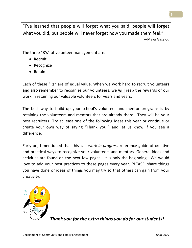"I've learned that people will forget what you said, people will forget what you did, but people will never forget how you made them feel." —Maya Angelou

The three "R's" of volunteer management are:

- Recruit
- Recognize
- Retain.

Each of these "Rs" are of equal value. When we work hard to recruit volunteers **and** also remember to recognize our volunteers, we **will** reap the rewards of our work in retaining our valuable volunteers for years and years.

The best way to build up your school's volunteer and mentor programs is by retaining the volunteers and mentors that are already there. They will be your best recruiters! Try at least one of the following ideas this year or continue or create your own way of saying "Thank you!" and let us know if you see a difference.

Early on, I mentioned that this is a *work‐in‐progress* reference guide of creative and practical ways to recognize your volunteers and mentors. General ideas and activities are found on the next few pages. It is only the beginning. We would love to add your best practices to these pages every year. PLEASE, share things you have done or ideas of things you may try so that others can gain from your creativity.



*Thank you for the extra things you do for our students!*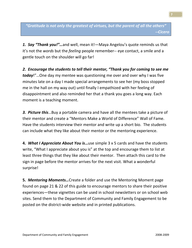*"Gratitude is not only the greatest of virtues, but the parent of all the others" ‐‐Cicero*

*1. Say "Thank you!"…*and well, mean it!—Maya Angelou's quote reminds us that it's not the *words* but the *feeling* people remember‐‐ eye contact, a smile and a gentle touch on the shoulder will go far!

*2. Encourage the students to tell their mentor, "Thank you for coming to see me today*!"…One day my mentee was questioning me over and over why I was five minutes late on a day I made special arrangements to see her (my boss stopped me in the hall on my way out) until finally I empathized with her feeling of disappointment and also reminded her that a thank you goes a long way. Each moment is a teaching moment.

**3. Picture this...** Buy a portable camera and have all the mentees take a picture of their mentor and create a "Mentors Make a World of Difference" Wall of Fame. Have the students interview their mentor and write up a short bio. The students can include what they like about their mentor or the mentoring experience.

**4.** *What I Appreciate About You is***…**use simple 3 x 5 cards and have the students write, "What I appreciate about you is" at the top and encourage them to list at least three things that they like about their mentor. Then attach this card to the sign in page before the mentor arrives for the next visit. What a wonderful surprise!

**5.** *Mentoring Moments…*Create a folder and use the Mentoring Moment page found on page 21 & 22 of this guide to encourage mentors to share their positive experiences—these vignettes can be used in school newsletters or on school web sites. Send them to the Department of Community and Family Engagement to be posted on the district‐wide website and in printed publications.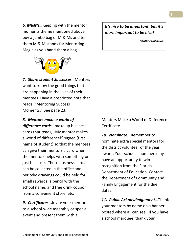*6. M&Ms…*Keeping with the mentor moments theme mentioned above, buy a jumbo bag of M & Ms and tell them M & M stands for Mentoring Magic as you hand them a bag.



*7. Share student Successes…*Mentors want to know the good things that are happening in the lives of their mentees. Have a preprinted note that reads, "Mentoring Success Moments." See page 23.

#### *8. Mentors make a world of difference cards…*make up business cards that reads, "My mentor makes a world of difference!" signed (first name of student) so that the mentees can give their mentors a card when the mentors helps with something or just because. These business cards can be collected in the office and periodic drawings could be held for small rewards, a pencil with the school name, and free drink coupon from a convenient store, etc.

**9. Certificates...**Invite your mentors to a school‐wide assembly or special event and present them with a

Mentors Make a World of Difference Certificate.

*10. Nominate...***Remember to** nominate extra special mentors for the district volunteer of the year award. Your school's nominee may have an opportunity to win recognition from the Florida Department of Education. Contact the Department of Community and Family Engagement for the due dates.

*11. Public Acknowledgement*…Thank your mentors by name on a banner posted where all can see. If you have a school marquee, thank your

*It's nice to be important, but it's more important to be nice!*

*~Author Unknown*

Department of Community and Family Engagement **by a struck of the struck of the Struck** of the Superson of the Superson of the Superson of the Superson of the Superson of the Superson of the Superson of the Superson of the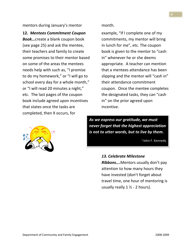mentors during January's mentor month.

**12.** *Mentees Commitment Coupon*

*Book…*create a blank coupon book (see page 25) and ask the mentee, their teachers and family to create some promises to their mentor based on some of the areas the mentees needs help with such as, "I promise to do my homework," or "I will go to school every day for a whole month," or "I will read 20 minutes a night," etc. The last pages of the coupon book include agreed upon incentives that states once the tasks are completed, then X occurs, for



example, "If I complete one of my commitments, my mentor will bring in lunch for me", etc. The coupon book is given to the mentor to "cash in" whenever he or she deems appropriate. A teacher can mention that a mentees attendance has been slipping and the mentor will "cash in" their attendance commitment coupon. Once the mentee completes the designated tasks, they can "cash in" on the prior agreed upon incentive.

*As we express our gratitude, we must never forget that the highest appreciation is not to utter words, but to live by them.*

~John F. Kennedy

#### *13. Celebrate Milestone*

*Ribbons….*Mentors usually don't pay attention to how many hours they have invested (don't forget about travel time, one hour of mentoring is usually really  $1 \frac{1}{2}$  - 2 hours).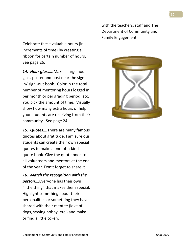Celebrate these valuable hours (in increments of time) by creating a ribbon for certain number of hours, See page 26.

14. Hour glass....Make a large hour glass poster and post near the sign‐ in/ sign ‐out book. Color in the total number of mentoring hours logged in per month or per grading period, etc. You pick the amount of time. Visually show how many extra hours of help your students are receiving from their community. See page 24.

15. Quotes....There are many famous quotes about gratitude. I am sure our students can create their own special quotes to make a one‐of‐a‐kind quote book. Give the quote book to all volunteers and mentors at the end of the year. Don't forget to share it

*16. Match the recognition with the person….*Everyone has their own "little thing" that makes them special. Highlight something about their personalities or something they have shared with their mentee (love of dogs, sewing hobby, etc.) and make or find a little token.

with the teachers, staff and The Department of Community and Family Engagement.

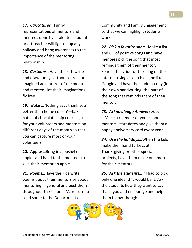*17. Caricatures…*Funny representations of mentors and mentees done by a talented student or art teacher will lighten up any hallway and bring awareness to the importance of the mentoring relationship.

18. **Cartoons...** Have the kids write and draw funny cartoons of real or imagined adventures of the mentor and mentee…let their imaginations fly free!

19. **Bake** ... Nothing says thank you better than home cookin'—bake a batch of chocolate chip cookies just for your volunteers and mentors on different days of the month so that you can capture most of your volunteers.

**20. Apples…**Bring in a bushel of apples and hand to the mentees to give their mentor an apple.

**21. Poems...** Have the kids write poems about their mentors or about mentoring in general and post them throughout the school. Make sure to send some to the Department of

Community and Family Engagement so that we can highlight students' works.

*22. Pick a favorite song…*Make a list and CD of positive songs and have mentees pick the song that most reminds them of their mentor. Search the lyrics for the song on the internet using a search engine like Google and have the student copy (in their own handwriting) the part of the song that reminds them of their mentor.

#### *23. Acknowledge Anniversaries*

*…*Make a calendar of your school's mentors' start dates and give them a happy anniversary card every year.

*24. Use the holidays…*When the kids make their hand turkeys at Thanksgiving or other special projects, have them make one more for their mentors.

*25. Ask the students…*If I had to pick only one idea, this would be it. Ask the students how they want to say thank you and encourage and help them follow‐though.

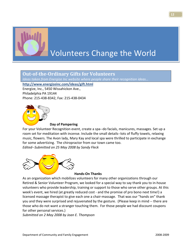

## Volunteers Change the World

#### **OutoftheOrdinary Gifts for Volunteers**

*Ideas taken from Energize Inc website where people share their recognition ideas…*

**http://www.energizeinc.com/ideas/gift.html** 

Energize, Inc., 5450 Wissahickon Ave., Philadelphia PA 19144 Phone: 215‐438‐8342, Fax: 215‐438‐0434



#### **Day of Pampering**

For your Volunteer Recognition event, create a spa‐‐do facials, manicures, massages. Set up a room set for meditation with incense. Include the small details--lots of fluffy towels, relaxing music, flowers. The Avon lady, Mary Kay and local spa were thrilled to participate in exchange for some advertizing. The chiropractor from our town came too. *Edited‐‐Submitted on 25 May 2008 by Sandy Fleck*

**Hands‐On Thanks**

As an organization which mobilizes volunteers for many other organizations through our Retired & Senior Volunteer Program, we looked for a special way to say thank you to in‐house volunteers who provide leadership, training or support to those who serve other groups. At this week's event, we hired (at greatly reduced cost ‐ and the promise of pro bono next time!) a licensed massage therapist to give each one a chair‐massage. That was our "hands on" thank you and they were surprised and rejuvenated by the gesture. (Please keep in mind ‐‐ there are those who do not want a stranger touching them. For those people we had discount coupons for other personal services.)

*Submitted on 2 May 2008 by Joan E. Thompson*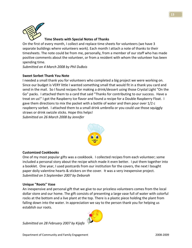

#### **Time Sheets with Special Notes of Thanks**

On the first of every month, I collect and replace time sheets for volunteers (we have 3 separate buildings where volunteers work). Each month I attach a note of thanks to their timesheets. The note could be from me, personally, from a member of our staff who has made positive comments about the volunteer, or from a resident with whom the volunteer has been spending time.

*Submitted on 4 March 2008 by Phil DuBois*

#### **Sweet Sorbet Thank You Note**

I needed a small thank you for volunteers who completed a big project we were working on. Since our budget is VERY little I wanted something small that would fit in a thank you card and send in the mail. So I found recipes for making a drink/dessert using those Crystal Light "On the Go" packs. I attached them to a card that said "Thanks for contributing to our success. Have a treat on us!" I got the Raspberry Ice flavor and found a recipe for a Double Raspberry Float. I gave them directions to mix the packet with a bottle of water and then pour over 1/2 c raspberry sorbet. I attached them to a small drink umbrella or you could use those squiggly straws or drink swizzle sticks. Hope this helps!

*Submitted on 26 March 2008 by Jennifer*



#### **Customized Cookbooks**

One of my most popular gifts was a cookbook. I collected recipes from each volunteer; some included a personal story about the recipe which made it even better. I put them together into a booklet. One year, I used postcards from our institution for the covers, the next I bought paper doily valentine hearts & stickers on the cover. It was a very inexpensive project. *Submitted on 5 September 2007 by Deborah*

#### **Unique "Roots" Vase**

An inexpensive and personal gift that we give to our priceless volunteers comes from the local dollar store and our home. The gift consists of presenting a large vase full of water with colorful rocks at the bottom and a live plant at the top. There is a plastic piece holding the plant from falling down into the water. In appreciation we say to the person thank you for helping us establish our roots.

*Submitted on 28 February 2007 by Kijafa* 

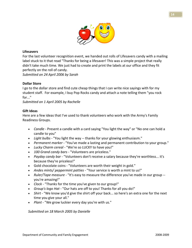

#### **Lifesavers**

For the last volunteer recognition event, we handed out rolls of Lifesavers candy with a mailing label stuck to it that read "Thanks for being a lifesaver! This was a simple project that really didn't take much time. We just had to create and print the labels at our office and they fit perfectly on the roll of candy.

*Submitted on 24 April 2006 by Sarah*

#### **Dollar Store**

I go to the dollar store and find cute cheap things that I can write nice sayings with for my student staff. For example, I buy Pop Rocks candy and attach a note telling them "you rock for..."

*Submitted on 1 April 2005 by Rachelle* 

#### **Gift Ideas**

Here are a few ideas that I've used to thank volunteers who work with the Army's Family Readiness Groups.

- *Candle* ‐ Present a candle with a card saying "You light the way" or "No one can hold a candle to you"
- *Light bulbs* ‐ "You light the way ‐‐ thanks for your glowing enthusiasm."
- *Permanent marker* ‐ "You've made a lasting and permanent contribution to your group."
- *Lucky Charm cereal* ‐ "We're so LUCKY to have you!"
- *100 Grand candy bars* ‐ "Volunteers are priceless."
- *Payday candy bar* ‐ "Volunteers don't receive a salary because they're worthless... it's because they're priceless!"
- Gold chocolate coins "Volunteers are worth their weight in gold."
- *Andes mints/ peppermint patties* ‐ "Your service is worth a mint to us!"
- *Ruler/Tape measure* ‐ "It's easy to measure the difference you've made in our group ‐‐ you're amazing!"
- *Clock* ‐ "Thanks for the time you've given to our group!"
- *Group's logo Hat* ‐ "Our hats are off to you! Thanks for all you do!"
- *Shirt* "We know you'd give the shirt off your back... so here's an extra one for the next time you give your all."
- *Plant* ‐ "We grow luckier every day you're with us."

*Submitted on 18 March 2005 by Danielle*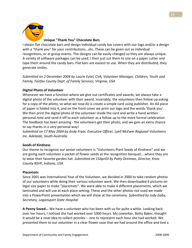

#### **Unique "Thank You" Chocolate Bars**

I obtain flat chocolate bars and design individual candy bar covers with our logo and/or a design with a "thank you" for your contributions...etc. These can be given out as individual recognitions, or at group events. The designs can be easily changed so they are always unique. A variety of software packages can be used. I then just cut them to size on a paper cutter and tape them around the candy bars. Flat bars are easiest to use. When they are distributed, they generate smiles.

*Submitted on 2 December 2004 by Laurie Eytel, CVA, Volunteer Manager, Children, Youth and Family, Fairfax County Dept. of Family Services, Virginia, USA*

#### **Digital Photo of Volunteer**

Whenever we have a function where we give out certificates and awards, we always take a digital photo of the volunteer with their award. Invariably, the volunteers then follow up asking for a copy of the photo, so what we now do is create a simple card using publisher. An A4 piece of paper is folded into 4, and on the front cover we print our logo and the words 'thank you'. We then print the digital photo of the volunteer inside the card and write a hand written personal note and send it off to each volunteer as a follow up to the more formal celebration. The feedback has been amazing ‐ the volunteers get their photo, and we gain an extra chance to say thanks in a very personal way!

*Submitted on 17 May 2004 by Andy Fryar, Executive Officer, Lyell McEwin Regional Volunteers Inc. Adelaide, South Australia*

#### **Seeds of Kindness**

Our theme to recognize our senior volunteers is "Volunteers Plant Seeds of Kindness" and we are giving each volunteer a packet of flower seeds at the recognition banquet....where they are to wear their favorite garden hat. *Submitted on 15Apr03 by Patty Dreiman, Director, Knox County RSVP, Indiana, USA*

#### **Placemats**

Since 2001 was International Year of the Volunteer, we decided in 2000 to take random photos of our volunteers while doing their various volunteer work. We then downloaded 6 pictures on legal size paper to make "placemats". We were able to make 4 different placements, which we laminated and will use at each place setting. These and the other photos not used we made into a PowerPoint presentation which we will show at the ceremony. *Submitted by Judy Gaby, Secretary, Logansport State Hospital*

**A Penny Saved...** We have a volunteer who has been with us for quite a while. Looking back over her hours, I noticed she had worked over 1000 hours. My coworker, Betty Baker, thought it would be a neat idea to collect pennies ‐‐ one to represent each hour she had worked. We presented them to our volunteer in a clear flower vase that we had around the office and tied a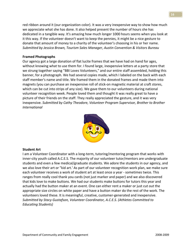red ribbon around it (our organization color). It was a very inexpensive way to show how much we appreciate what she has done. It also helped present the number of hours she has dedicated in a tangible way. It's amazing how much longer 1000 hours seems when you look at it this way. If the volunteer doesn't want to keep the pennies, it might be a nice gesture to donate that amount of money to a charity of the volunteer's choosing in his or her name. *Submitted by Jessica Brown, Tourism Sales Manager, Austin Convention & Visitors Bureau*

#### **Framed Photographs**

Our agency got a large donation of flat lucite frames that we have had on hand for ages, without knowing what to use them for. I found large, inexpensive letters at a party store that we strung together saying "BBI Loves Volunteers," and our entire staff assembled, holding this banner, for a photograph. We had several copies made, which I labeled on the back with each staff member's name and title. We framed them in the donated frames and made them into magnets (you can purchase an inexpensive roll of stick‐on magnetic material at craft stores, which can be cut into strips of any size). We gave them to our volunteers during national volunteer recognition week. People loved them and thought it was really great to have a picture of their friends on the staff. They really appreciated the gesture, and it was very inexpensive. *Submitted by Cathy Theodore, Volunteer Program Supervisor, Brother to Brother International* 



#### **Student Art**

I am a Volunteer Coordinator with a long‐term, tutoring/mentoring program that works with inner‐city youth called A.C.E.S. The majority of our volunteer tutor/mentors are undergraduate students and even a few medical/graduate students. We adore the students in our agency, and we also love their art or "kid art.' As part of our volunteer recognition work plan, we make sure each volunteer receives a work of student art at least once a year ‐ sometimes twice. This ranges from really cool thank you cards (not just marker and paper) and we also discovered that kids love to make buttons. We had our students make buttons for tutors this year and actually had the button maker at an event. One can either rent a maker or just cut out the appropriate size circles on white paper and have a button maker do the rest of the work. The volunteers loved these. It is meaningful, creative, customer‐generated and inexpensive. *Submitted by Stacy Gustafson, Volunteer Coordinator, A.C.E.S. (Athletes Committed to Educating Students)*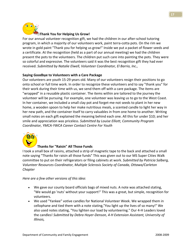

#### **Thank You for Helping Us Grow!**

For our annual volunteer recognition gift, we had the children in our after‐school tutoring program, in which a majority of our volunteers work, paint terra‐cotta pots. On the rim we wrote in gold paint "Thank you for helping us grow!" Inside we put a packet of flower seeds and a certificate. At the recognition (held as a part of our annual meeting) we had the children present the pots to the volunteers. The children put such care into painting the pots. They were so colorful and expressive. The volunteers said it was the best recognition gift they had ever received. *Submitted by Natalie Elwell, Volunteer Coordinator, El Barrio, Inc.,*

#### **Saying Goodbye to Volunteers with a Care Package**

Our volunteers are youth 15‐29 years old. Many of our volunteers resign their positions to go onto school or full time work. In order to recognize these volunteers and to say "thank you" for their work during their time with us, we send them off with a care package. The items are "wrapped" in a reusable plastic container. The items within are tailored to the journey the volunteer will be pursuing. For example, one volunteer was leaving us to go to the West Coast. In her container, we included a small clay pot and forget-me-not seeds to plant in her new home, a wooden spoon to help her make nutritious meals, a scented candle to light her way in her new path, and the container itself to carry valuables in from one home to another. Writing small notes on each gift explained the meaning behind each one. All this for under \$10; and her smile and appreciation was priceless. *Submitted by Louise Elliott, Community Program Coordinator, YMCA‐YWCA Career Contact Centre For Youth*



#### **Thanks for "Raisin" All Those Funds**

I took a small box of raisins, attached a strip of magnetic tape to the back and attached a small note saying "Thanks for raisin all those funds" This was given out to our MS Super Cities Walk committee to put on their refrigerators or filing cabinets at work. *Submitted by Patricia Salberg, Volunteer Resources Coordinator, Multiple Sclerosis Society of Canada, Ottawa/Carleton Chapter*

*Here are a few other versions of this idea*:

- We gave our county board officials bags of mixed nuts. A note was attached stating, "We would go 'nuts' without your support!" This was a great, but simple, recognition for volunteers.
- We used "Yankee" votive candles for National Volunteer Week. We wrapped them in cellophane and tied them with a note stating,"You light up the lives of so many!" We also used notes stating, "You lighten our load by volunteering." Our 4‐H Leaders loved the candles! *Submitted by Debra Hoyer‐Denson, 4‐H Extension Assistant, University of Illinois,*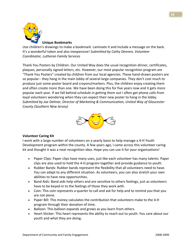

Use children's drawings to make a bookmark. Laminate it and include a message on the back. It's a wonderful token and also inexpensive! *Submitted by Cathy Dennen, Volunteer Coordinator, Lutheran Family Services*

Thank You Posters by Children. Our United Way does the usual recognition dinner, certificates, plaques, personally signed letters, etc. However, our most popular recognition program are "Thank You Posters" created by children from our local agencies. These hand‐drawn posters are so popular-- they hang in the main lobby of several large companies. They don't cost much to produce just some poster board and crayons/markers. Plus, the children enjoy creating them and often create more than one. We have been doing this for five years now and it gets more popular each year. If we fall behind schedule in getting them out I often get phone calls from loyal volunteers wondering when they can expect their new poster to hang in the lobby. *Submitted by Joe Delmar, Director of Marketing & Communication, United Way of Gloucester County (Southern New Jersey)*



#### **Volunteer Caring Kit**

I work with a large number of volunteers on a yearly basis to help manage a 4‐H Youth Development program within the county. A few years ago, I came across this volunteer caring kit and thought it was a neat recognition idea. Hope you can use it for your organizations!

- Paper Clips: Paper clips have many uses, just like each volunteer has many talents. Paper clips are also used to hold the 4‐H program together and provide guidance to youth.
- Rubber Bands: Rubber bands represent the flexibility that all volunteers need to have. You can adapt to any different situation. As volunteers, you can also stretch your own abilities to have new opportunities.
- Band Aids: Band aids help others and are sensitive to others feelings, just as volunteers have to be keyed‐in to the feelings of those they work with.
- Coin: This coin represents a quarter to call and ask for help and to remind you that you are not alone.
- Paper Bill: This money calculates the contribution that volunteers make to the 4‐H program through their donation of time.
- Balloon: This balloon expands and grows as you learn from others.
- Heart Sticker: This heart represents the ability to reach out to youth. You care about our youth and what they are doing.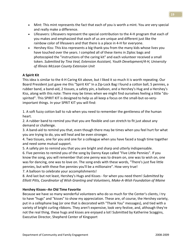- Mint: This mint represents the fact that each of you is worth a mint. You are very special and really make a difference.
- Lifesavers: Lifesavers represent the special contribution to the 4-H program that each of you makes and emphasized that each of us are unique and different just like the rainbow color of lifesavers and that there is a place in 4‐H for everyone.
- Hershey Kiss: This kiss represents a big thank-you from the many kids whose lives you have touched over the years. I compiled all of these items in Ziploc bags and photocopied the "instructions of the caring kit" and each volunteer received a small token. *Submitted by Tina Veal, Extension Assistant, Youth Development/4‐H, University of Illinois McLean County Extension Unit*

#### **A Spirit Kit**

This idea is similar to the 4‐H Caring Kit above, but I liked it so much it is worth repeating. Our Board President just gave me this "Spirit Kit" In a Zip‐Lock Bag I found a cotton ball, 5 pennies, a rubber band, a band‐aid, 2 tissues, a safety pin, a balloon, and a Hershey's Hug and a Hershey's Kiss, along with this note: There may be times when we might find ourselves feeling a little "dis‐ spirited". This SPIRIT KIT is designed to help us all keep a focus on the small-but-so-veryimportant things. In your SPRIT KIT you will find:

1. A soft fuzzy cotton ball to rub when you need to remember the gentleness of the human heart.

2. A rubber band to remind you that you are flexible and can stretch to fit just about any demand or challenge.

3. A band‐aid to remind you that, even though there may be times when you feel hurt for what you are trying to do, you will heal and be even stronger.

4. Two tissues, one for you and one for a colleague when you have faced a tough time together and need some mutual support.

5. A safety pin to remind you that you are bright and sharp and utterly indispensable.

6. Five pennies to remind you of the song by Danny Kaye called "Five Little Pennies". If you know the song, you will remember that one penny was to dream on, one was to wish on, one was for dancing, one was to love on. The song ends with these words, "There's just five little pennies, but with these five pennies you'll be a millionaire". How very true!

7. A balloon to celebrate your accomplishments!

8. And last but not least, Hershey's Hugs and Kisses ‐ for when you need them! *Submitted by Elliott Pitts, Coordinator of Wish Granting and Volunteers, Make‐A‐Wish Foundation of Maine*

#### **Hershey Kisses‐‐An Old Time Favorite**

Because we have so many wonderful volunteers who do so much for the Center's clients, I try to have "hugs" and "kisses" to show my appreciation. These are, of course, the Hershey variety, put in a cellophane bag (or one that is decorated with "Thank You" messages), and tied with a variety of bright curling ribbons. They aren't expensive, look very festive, and, although they're not the real thing, these hugs and kisses are enjoyed a lot! Submitted by Katherine Scoggins, Executive Director, Shepherd Center of Kingsport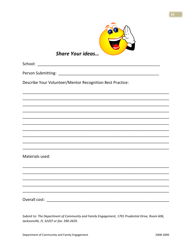

#### **Share Your ideas...**

Describe Your Volunteer/Mentor Recognition Best Practice:

Materials used:

Submit to: The Department of Community and Family Engagement, 1701 Prudential Drive, Room 606, Jacksonville, FL 32207 or fax: 390-2659.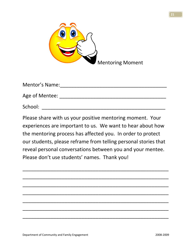

| <b>Mentor's Name:</b> |  |
|-----------------------|--|
|                       |  |
| Age of Mentee:        |  |
| School:               |  |

Please share with us your positive mentoring moment. Your experiences are important to us. We want to hear about how the mentoring process has affected you. In order to protect our students, please reframe from telling personal stories that reveal personal conversations between you and your mentee. Please don't use students' names. Thank you!

\_\_\_\_\_\_\_\_\_\_\_\_\_\_\_\_\_\_\_\_\_\_\_\_\_\_\_\_\_\_\_\_\_\_\_\_\_\_\_\_\_\_\_\_\_\_\_\_\_\_\_\_

\_\_\_\_\_\_\_\_\_\_\_\_\_\_\_\_\_\_\_\_\_\_\_\_\_\_\_\_\_\_\_\_\_\_\_\_\_\_\_\_\_\_\_\_\_\_\_\_\_\_\_\_

\_\_\_\_\_\_\_\_\_\_\_\_\_\_\_\_\_\_\_\_\_\_\_\_\_\_\_\_\_\_\_\_\_\_\_\_\_\_\_\_\_\_\_\_\_\_\_\_\_\_\_\_

\_\_\_\_\_\_\_\_\_\_\_\_\_\_\_\_\_\_\_\_\_\_\_\_\_\_\_\_\_\_\_\_\_\_\_\_\_\_\_\_\_\_\_\_\_\_\_\_\_\_\_\_

\_\_\_\_\_\_\_\_\_\_\_\_\_\_\_\_\_\_\_\_\_\_\_\_\_\_\_\_\_\_\_\_\_\_\_\_\_\_\_\_\_\_\_\_\_\_\_\_\_\_\_\_

\_\_\_\_\_\_\_\_\_\_\_\_\_\_\_\_\_\_\_\_\_\_\_\_\_\_\_\_\_\_\_\_\_\_\_\_\_\_\_\_\_\_\_\_\_\_\_\_\_\_\_\_

\_\_\_\_\_\_\_\_\_\_\_\_\_\_\_\_\_\_\_\_\_\_\_\_\_\_\_\_\_\_\_\_\_\_\_\_\_\_\_\_\_\_\_\_\_\_\_\_\_\_\_\_



**21**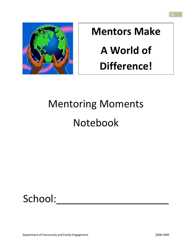

# **Mentors Make A World of Difference!**

# Mentoring Moments Notebook

## School:

**22**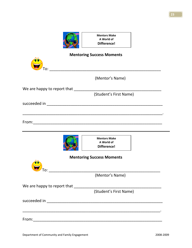

| <b>Mentoring Success Moments</b> |                                                  |  |  |  |
|----------------------------------|--------------------------------------------------|--|--|--|
|                                  |                                                  |  |  |  |
|                                  | (Mentor's Name)                                  |  |  |  |
| We are happy to report that      | (Student's First Name)                           |  |  |  |
|                                  |                                                  |  |  |  |
|                                  |                                                  |  |  |  |
|                                  | <b>Mentors Make</b><br>A World of<br>Difference! |  |  |  |
|                                  | <b>Mentoring Success Moments</b>                 |  |  |  |
|                                  |                                                  |  |  |  |
|                                  | (Mentor's Name)                                  |  |  |  |
| We are happy to report that      |                                                  |  |  |  |
|                                  | (Student's First Name)                           |  |  |  |
|                                  |                                                  |  |  |  |
|                                  |                                                  |  |  |  |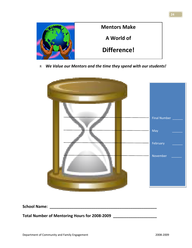

R *We Value our Mentors and the time they spend with our students!*



**School Name: \_\_\_\_\_\_\_\_\_\_\_\_\_\_\_\_\_\_\_\_\_\_\_\_\_\_\_\_\_\_\_\_\_\_\_\_\_\_\_\_\_\_\_\_\_\_\_\_\_** 

**Total Number of Mentoring Hours for 2008‐2009 \_\_\_\_\_\_\_\_\_\_\_\_\_\_\_\_\_\_\_\_**

**24**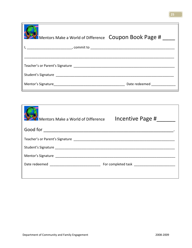| Mentors Make a World of Difference  COUPON BOOK Page # |                                                                                                                                                                                                                                |
|--------------------------------------------------------|--------------------------------------------------------------------------------------------------------------------------------------------------------------------------------------------------------------------------------|
|                                                        |                                                                                                                                                                                                                                |
|                                                        |                                                                                                                                                                                                                                |
| Teacher's or Parent's Signature                        |                                                                                                                                                                                                                                |
|                                                        |                                                                                                                                                                                                                                |
|                                                        | Date redeemed and the state of the state of the state of the state of the state of the state of the state of the state of the state of the state of the state of the state of the state of the state of the state of the state |

| Mentors Make a World of Difference | Incentive Page # |  |  |  |
|------------------------------------|------------------|--|--|--|
|                                    |                  |  |  |  |
|                                    |                  |  |  |  |
|                                    |                  |  |  |  |
|                                    |                  |  |  |  |
|                                    |                  |  |  |  |
|                                    |                  |  |  |  |

 $\Gamma$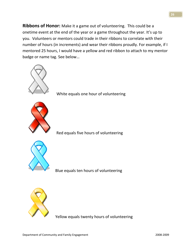**Ribbons of Honor:** Make it a game out of volunteering. This could be a onetime event at the end of the year or a game throughout the year. It's up to you. Volunteers or mentors could trade in their ribbons to correlate with their number of hours (in increments) and wear their ribbons proudly. For example, if I mentored 25 hours, I would have a yellow and red ribbon to attach to my mentor badge or name tag. See below...



White equals one hour of volunteering



Red equals five hours of volunteering



Blue equals ten hours of volunteering



Yellow equals twenty hours of volunteering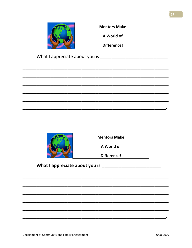|                                | <b>Mentors Make</b> |  |  |  |
|--------------------------------|---------------------|--|--|--|
|                                | A World of          |  |  |  |
|                                | <b>Difference!</b>  |  |  |  |
| What I appreciate about you is |                     |  |  |  |
|                                |                     |  |  |  |
|                                |                     |  |  |  |
|                                |                     |  |  |  |
|                                |                     |  |  |  |



#### 

 $\overline{\phantom{a}}$ 

27

 $\bullet$